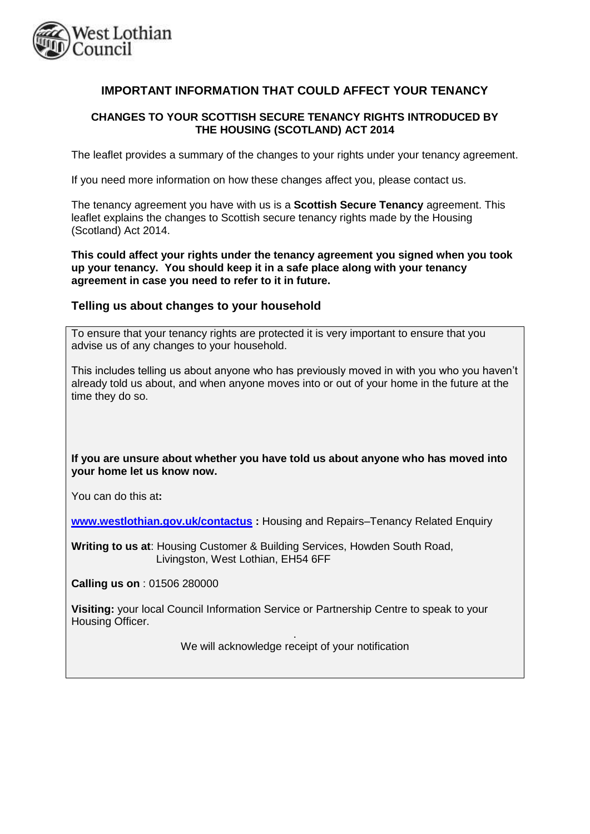

# **IMPORTANT INFORMATION THAT COULD AFFECT YOUR TENANCY**

## **CHANGES TO YOUR SCOTTISH SECURE TENANCY RIGHTS INTRODUCED BY THE HOUSING (SCOTLAND) ACT 2014**

The leaflet provides a summary of the changes to your rights under your tenancy agreement.

If you need more information on how these changes affect you, please contact us.

The tenancy agreement you have with us is a **Scottish Secure Tenancy** agreement. This leaflet explains the changes to Scottish secure tenancy rights made by the Housing (Scotland) Act 2014.

**This could affect your rights under the tenancy agreement you signed when you took up your tenancy. You should keep it in a safe place along with your tenancy agreement in case you need to refer to it in future.**

## **Telling us about changes to your household**

To ensure that your tenancy rights are protected it is very important to ensure that you advise us of any changes to your household.

This includes telling us about anyone who has previously moved in with you who you haven't already told us about, and when anyone moves into or out of your home in the future at the time they do so.

**If you are unsure about whether you have told us about anyone who has moved into your home let us know now.**

You can do this at**:**

**[www.westlothian.gov.uk/contactus](http://www.westlothian.gov.uk/contactus) :** Housing and Repairs–Tenancy Related Enquiry

**Writing to us at**: Housing Customer & Building Services, Howden South Road, Livingston, West Lothian, EH54 6FF

**Calling us on** : 01506 280000

**Visiting:** your local Council Information Service or Partnership Centre to speak to your Housing Officer.

> . We will acknowledge receipt of your notification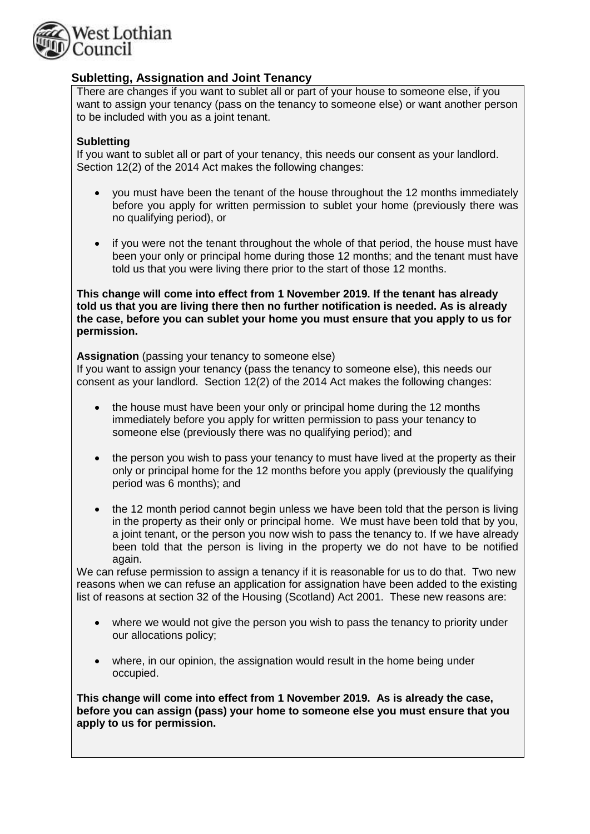

# **Subletting, Assignation and Joint Tenancy**

There are changes if you want to sublet all or part of your house to someone else, if you want to assign your tenancy (pass on the tenancy to someone else) or want another person to be included with you as a joint tenant.

### **Subletting**

If you want to sublet all or part of your tenancy, this needs our consent as your landlord. Section 12(2) of the 2014 Act makes the following changes:

- you must have been the tenant of the house throughout the 12 months immediately before you apply for written permission to sublet your home (previously there was no qualifying period), or
- if you were not the tenant throughout the whole of that period, the house must have been your only or principal home during those 12 months; and the tenant must have told us that you were living there prior to the start of those 12 months.

**This change will come into effect from 1 November 2019. If the tenant has already told us that you are living there then no further notification is needed. As is already the case, before you can sublet your home you must ensure that you apply to us for permission.**

### **Assignation** (passing your tenancy to someone else)

If you want to assign your tenancy (pass the tenancy to someone else), this needs our consent as your landlord. Section 12(2) of the 2014 Act makes the following changes:

- the house must have been your only or principal home during the 12 months immediately before you apply for written permission to pass your tenancy to someone else (previously there was no qualifying period); and
- the person you wish to pass your tenancy to must have lived at the property as their only or principal home for the 12 months before you apply (previously the qualifying period was 6 months); and
- the 12 month period cannot begin unless we have been told that the person is living in the property as their only or principal home. We must have been told that by you, a joint tenant, or the person you now wish to pass the tenancy to. If we have already been told that the person is living in the property we do not have to be notified again.

We can refuse permission to assign a tenancy if it is reasonable for us to do that. Two new reasons when we can refuse an application for assignation have been added to the existing list of reasons at section 32 of the Housing (Scotland) Act 2001. These new reasons are:

- where we would not give the person you wish to pass the tenancy to priority under our allocations policy;
- where, in our opinion, the assignation would result in the home being under occupied.

**This change will come into effect from 1 November 2019. As is already the case, before you can assign (pass) your home to someone else you must ensure that you apply to us for permission.**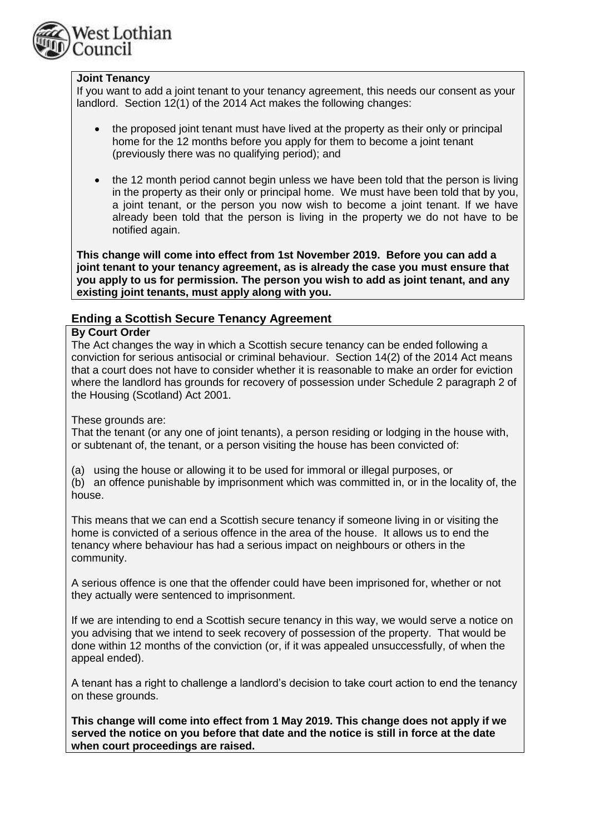

### **Joint Tenancy**

If you want to add a joint tenant to your tenancy agreement, this needs our consent as your landlord. Section 12(1) of the 2014 Act makes the following changes:

- the proposed joint tenant must have lived at the property as their only or principal home for the 12 months before you apply for them to become a joint tenant (previously there was no qualifying period); and
- the 12 month period cannot begin unless we have been told that the person is living in the property as their only or principal home. We must have been told that by you, a joint tenant, or the person you now wish to become a joint tenant. If we have already been told that the person is living in the property we do not have to be notified again.

**This change will come into effect from 1st November 2019. Before you can add a joint tenant to your tenancy agreement, as is already the case you must ensure that you apply to us for permission. The person you wish to add as joint tenant, and any existing joint tenants, must apply along with you.**

## **Ending a Scottish Secure Tenancy Agreement**

### **By Court Order**

The Act changes the way in which a Scottish secure tenancy can be ended following a conviction for serious antisocial or criminal behaviour. Section 14(2) of the 2014 Act means that a court does not have to consider whether it is reasonable to make an order for eviction where the landlord has grounds for recovery of possession under Schedule 2 paragraph 2 of the Housing (Scotland) Act 2001.

These grounds are:

That the tenant (or any one of joint tenants), a person residing or lodging in the house with, or subtenant of, the tenant, or a person visiting the house has been convicted of:

(a) using the house or allowing it to be used for immoral or illegal purposes, or

(b) an offence punishable by imprisonment which was committed in, or in the locality of, the house.

This means that we can end a Scottish secure tenancy if someone living in or visiting the home is convicted of a serious offence in the area of the house. It allows us to end the tenancy where behaviour has had a serious impact on neighbours or others in the community.

A serious offence is one that the offender could have been imprisoned for, whether or not they actually were sentenced to imprisonment.

If we are intending to end a Scottish secure tenancy in this way, we would serve a notice on you advising that we intend to seek recovery of possession of the property. That would be done within 12 months of the conviction (or, if it was appealed unsuccessfully, of when the appeal ended).

A tenant has a right to challenge a landlord's decision to take court action to end the tenancy on these grounds.

**This change will come into effect from 1 May 2019. This change does not apply if we served the notice on you before that date and the notice is still in force at the date when court proceedings are raised.**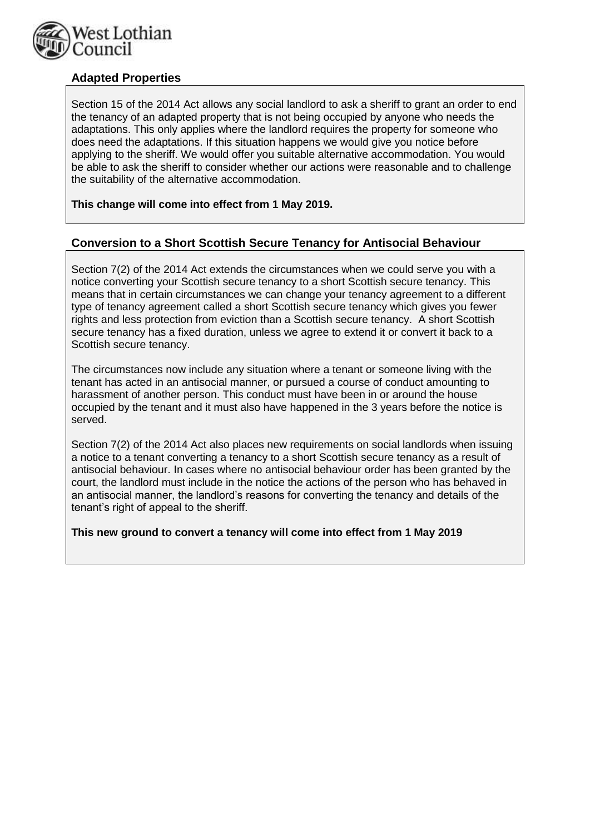

# **Adapted Properties**

Section 15 of the 2014 Act allows any social landlord to ask a sheriff to grant an order to end the tenancy of an adapted property that is not being occupied by anyone who needs the adaptations. This only applies where the landlord requires the property for someone who does need the adaptations. If this situation happens we would give you notice before applying to the sheriff. We would offer you suitable alternative accommodation. You would be able to ask the sheriff to consider whether our actions were reasonable and to challenge the suitability of the alternative accommodation.

### **This change will come into effect from 1 May 2019.**

## **Conversion to a Short Scottish Secure Tenancy for Antisocial Behaviour**

Section 7(2) of the 2014 Act extends the circumstances when we could serve you with a notice converting your Scottish secure tenancy to a short Scottish secure tenancy. This means that in certain circumstances we can change your tenancy agreement to a different type of tenancy agreement called a short Scottish secure tenancy which gives you fewer rights and less protection from eviction than a Scottish secure tenancy. A short Scottish secure tenancy has a fixed duration, unless we agree to extend it or convert it back to a Scottish secure tenancy.

The circumstances now include any situation where a tenant or someone living with the tenant has acted in an antisocial manner, or pursued a course of conduct amounting to harassment of another person. This conduct must have been in or around the house occupied by the tenant and it must also have happened in the 3 years before the notice is served.

Section 7(2) of the 2014 Act also places new requirements on social landlords when issuing a notice to a tenant converting a tenancy to a short Scottish secure tenancy as a result of antisocial behaviour. In cases where no antisocial behaviour order has been granted by the court, the landlord must include in the notice the actions of the person who has behaved in an antisocial manner, the landlord's reasons for converting the tenancy and details of the tenant's right of appeal to the sheriff.

### **This new ground to convert a tenancy will come into effect from 1 May 2019**